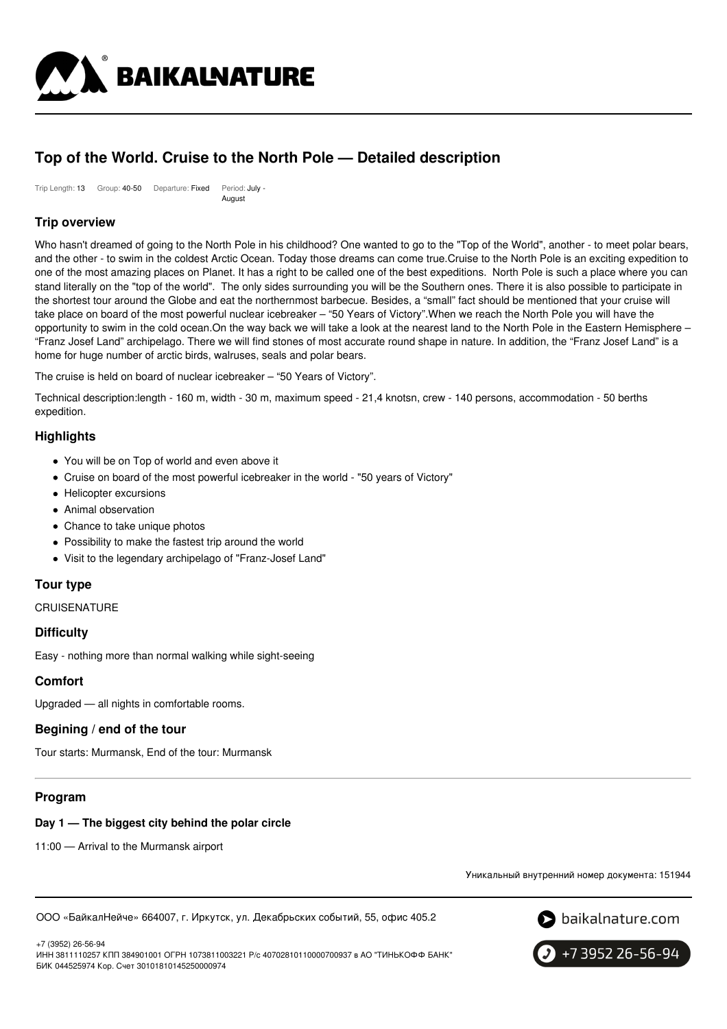

# **Top of the World. Cruise to the North Pole — Detailed description**

Trip Length: 13 Group: 40-50 Departure: Fixed Period: July - **August** 

# **Trip overview**

Who hasn't dreamed of going to the North Pole in his childhood? One wanted to go to the "Top of the World", another - to meet polar bears, and the other - to swim in the coldest Arctic Ocean. Today those dreams can come true.Cruise to the North Pole is an exciting expedition to one of the most amazing places on Planet. It has a right to be called one of the best expeditions. North Pole is such a place where you can stand literally on the "top of the world". The only sides surrounding you will be the Southern ones. There it is also possible to participate in the shortest tour around the Globe and eat the northernmost barbecue. Besides, a "small" fact should be mentioned that your cruise will take place on board of the most powerful nuclear icebreaker – "50 Years of Victory".When we reach the North Pole you will have the opportunity to swim in the cold ocean.On the way back we will take a look at the nearest land to the North Pole in the Eastern Hemisphere – "Franz Josef Land" archipelago. There we will find stones of most accurate round shape in nature. In addition, the "Franz Josef Land" is a home for huge number of arctic birds, walruses, seals and polar bears.

The cruise is held on board of nuclear icebreaker – "50 Years of Victory".

Technical description:length - 160 m, width - 30 m, maximum speed - 21,4 knotsn, crew - 140 persons, accommodation - 50 berths expedition.

# **Highlights**

- You will be on Top of world and even above it
- Cruise on board of the most powerful icebreaker in the world "50 years of Victory"
- Helicopter excursions
- Animal observation
- Chance to take unique photos
- Possibility to make the fastest trip around the world
- Visit to the legendary archipelago of "Franz-Josef Land"

## **Tour type**

**CRUISENATURE** 

### **Difficulty**

Easy - nothing more than normal walking while sight-seeing

# **Comfort**

Upgraded — all nights in comfortable rooms.

### **Begining / end of the tour**

Tour starts: Murmansk, End of the tour: Murmansk

# **Program**

### **Day 1 — The biggest city behind the polar circle**

11:00 — Arrival to the Murmansk airport

Уникальный внутренний номер документа: 151944

ООО «БайкалНейче» 664007, г. Иркутск, ул. Декабрьских событий, 55, офис 405.2



+7 (3952) 26-56-94

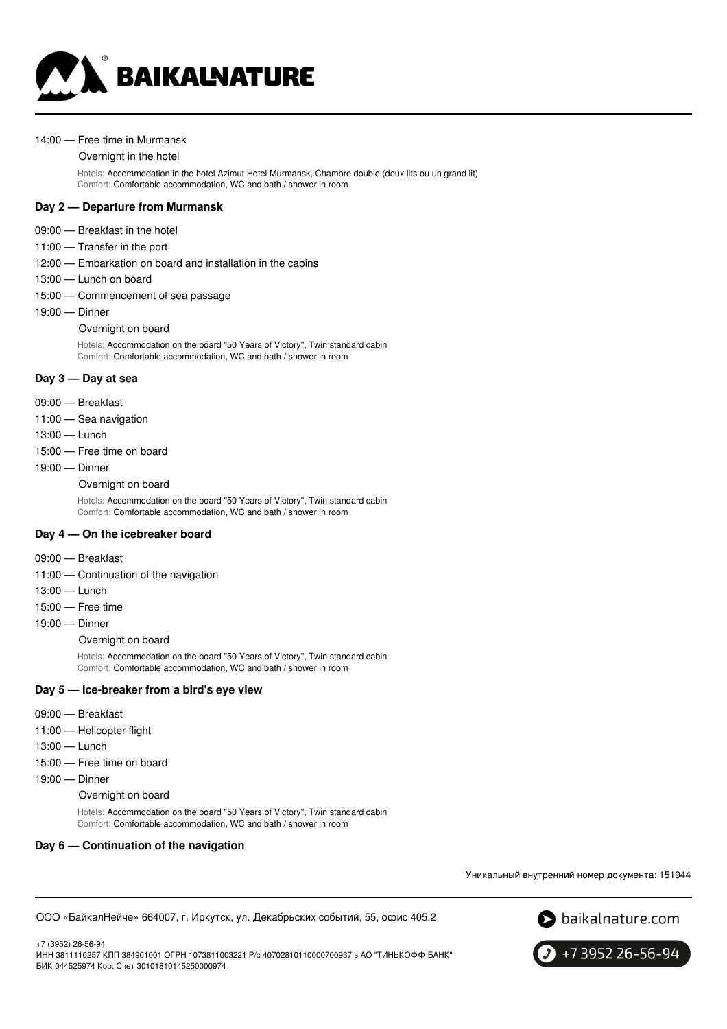

#### 14:00 — Free time in Murmansk

#### Overnight in the hotel

Hotels: Accommodation in the hotel Azimut Hotel Murmansk, Chambre double (deux lits ou un grand lit) Comfort: Comfortable accommodation, WC and bath / shower in room

### **Day 2 — Departure from Murmansk**

- 09:00 Breakfast in the hotel
- 11:00 Transfer in the port
- 12:00 Embarkation on board and installation in the cabins
- 13:00 Lunch on board
- 15:00 Commencement of sea passage
- 19:00 Dinner
	- Overnight on board

Hotels: Accommodation on the board "50 Years of Victory", Twin standard cabin Comfort: Comfortable accommodation, WC and bath / shower in room

### **Day 3 — Day at sea**

- 09:00 Breakfast
- 11:00 Sea navigation
- 13:00 Lunch
- 15:00 Free time on board
- 19:00 Dinner

#### Overnight on board

Hotels: Accommodation on the board "50 Years of Victory", Twin standard cabin Comfort: Comfortable accommodation, WC and bath / shower in room

### **Day 4 — On the icebreaker board**

- 09:00 Breakfast
- 11:00 Continuation of the navigation
- 13:00 Lunch
- 15:00 Free time
- 19:00 Dinner
	- Overnight on board

Hotels: Accommodation on the board "50 Years of Victory", Twin standard cabin Comfort: Comfortable accommodation, WC and bath / shower in room

#### **Day 5 — Ice-breaker from a bird's eye view**

- 09:00 Breakfast
- 11:00 Helicopter flight
- 13:00 Lunch
- 15:00 Free time on board
- 19:00 Dinner
	- Overnight on board

Hotels: Accommodation on the board "50 Years of Victory", Twin standard cabin Comfort: Comfortable accommodation, WC and bath / shower in room

#### **Day 6 — Continuation of the navigation**

Уникальный внутренний номер документа: 151944

ООО «БайкалНейче» 664007, г. Иркутск, ул. Декабрьских событий, 55, офис 405.2



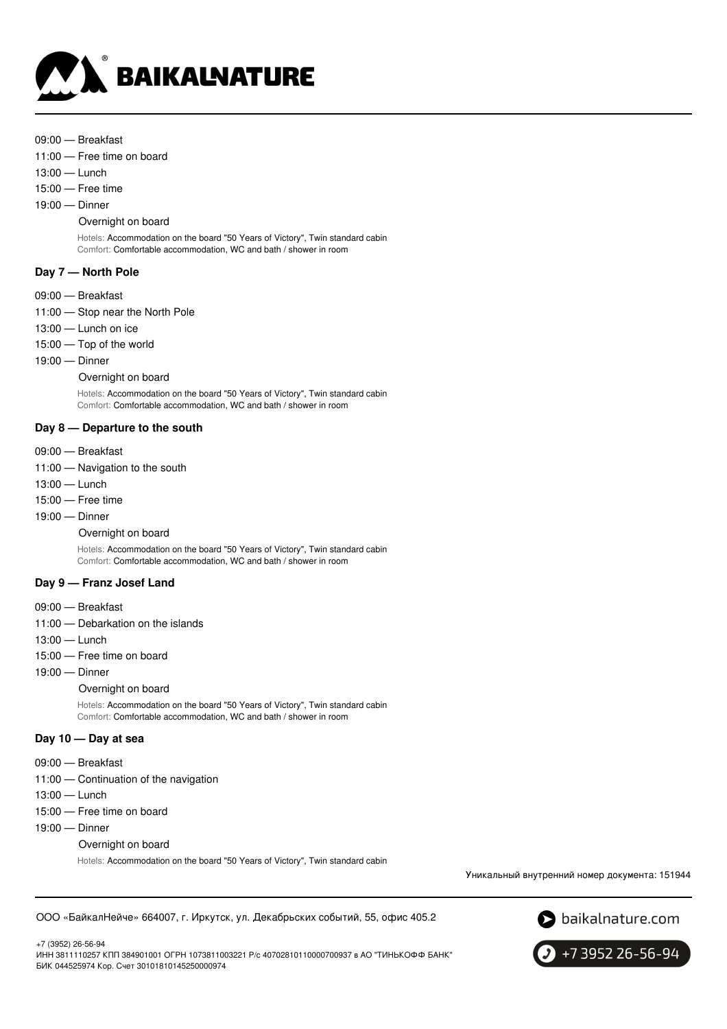

- 09:00 Breakfast
- 11:00 Free time on board
- 13:00 Lunch
- 15:00 Free time
- 19:00 Dinner

### Overnight on board

Hotels: Accommodation on the board "50 Years of Victory", Twin standard cabin Comfort: Comfortable accommodation, WC and bath / shower in room

### **Day 7 — North Pole**

- 09:00 Breakfast
- 11:00 Stop near the North Pole
- 13:00 Lunch on ice
- 15:00 Top of the world
- 19:00 Dinner

Overnight on board

Hotels: Accommodation on the board "50 Years of Victory", Twin standard cabin Comfort: Comfortable accommodation, WC and bath / shower in room

### **Day 8 — Departure to the south**

- 09:00 Breakfast
- 11:00 Navigation to the south
- 13:00 Lunch
- 15:00 Free time
- 19:00 Dinner
	- Overnight on board

Hotels: Accommodation on the board "50 Years of Victory", Twin standard cabin Comfort: Comfortable accommodation, WC and bath / shower in room

# **Day 9 — Franz Josef Land**

- 09:00 Breakfast
- 11:00 Debarkation on the islands
- 13:00 Lunch
- 15:00 Free time on board
- 19:00 Dinner

### Overnight on board

Hotels: Accommodation on the board "50 Years of Victory", Twin standard cabin Comfort: Comfortable accommodation, WC and bath / shower in room

### **Day 10 — Day at sea**

- 09:00 Breakfast
- 11:00 Continuation of the navigation
- 13:00 Lunch
- 15:00 Free time on board
- 19:00 Dinner
	- Overnight on board

Hotels: Accommodation on the board "50 Years of Victory", Twin standard cabin

Уникальный внутренний номер документа: 151944

ООО «БайкалНейче» 664007, г. Иркутск, ул. Декабрьских событий, 55, офис 405.2



+7 (3952) 26-56-94

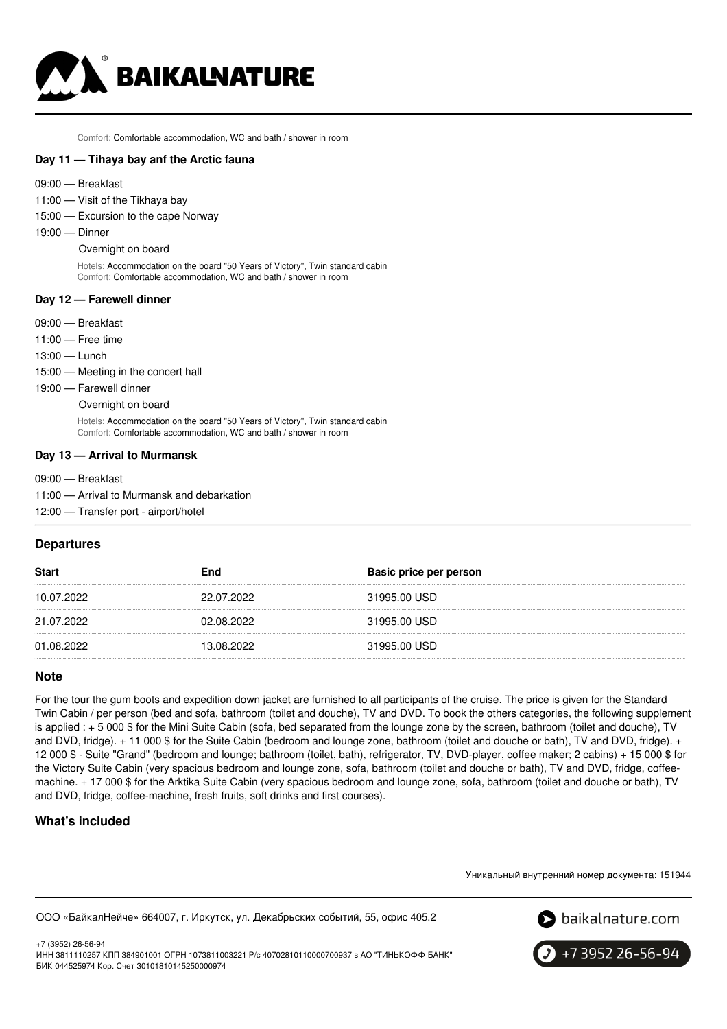

Comfort: Comfortable accommodation, WC and bath / shower in room

### **Day 11 — Tihaya bay anf the Arctic fauna**

- 09:00 Breakfast
- 11:00 Visit of the Tikhaya bay
- 15:00 Excursion to the cape Norway
- 19:00 Dinner

#### Overnight on board

Hotels: Accommodation on the board "50 Years of Victory", Twin standard cabin Comfort: Comfortable accommodation, WC and bath / shower in room

### **Day 12 — Farewell dinner**

- 09:00 Breakfast
- 11:00 Free time
- 13:00 Lunch
- 15:00 Meeting in the concert hall
- 19:00 Farewell dinner
	- Overnight on board

Hotels: Accommodation on the board "50 Years of Victory", Twin standard cabin Comfort: Comfortable accommodation, WC and bath / shower in room

#### **Day 13 — Arrival to Murmansk**

- 09:00 Breakfast
- 11:00 Arrival to Murmansk and debarkation
- 12:00 Transfer port airport/hotel

### **Departures**

| <b>Start</b> | End        | Basic price per person |
|--------------|------------|------------------------|
| 10.07.2022   | 22.07.2022 | 31995.00 USD           |
| 21.07.2022   | 02.08.2022 | 31995.00 USD           |
| 01.08.2022   | 13.08.2022 | 31995.00 USD           |

# **Note**

For the tour the gum boots and expedition down jacket are furnished to all participants of the cruise. The price is given for the Standard Twin Cabin / per person (bed and sofa, bathroom (toilet and douche), TV and DVD. To book the others categories, the following supplement is applied : + 5 000 \$ for the Mini Suite Cabin (sofa, bed separated from the lounge zone by the screen, bathroom (toilet and douche), TV and DVD, fridge). + 11 000 \$ for the Suite Cabin (bedroom and lounge zone, bathroom (toilet and douche or bath), TV and DVD, fridge). + 12 000 \$ - Suite "Grand" (bedroom and lounge; bathroom (toilet, bath), refrigerator, TV, DVD-player, coffee maker; 2 cabins) + 15 000 \$ for the Victory Suite Cabin (very spacious bedroom and lounge zone, sofa, bathroom (toilet and douche or bath), TV and DVD, fridge, coffeemachine. + 17 000 \$ for the Arktika Suite Cabin (very spacious bedroom and lounge zone, sofa, bathroom (toilet and douche or bath), TV and DVD, fridge, coffee-machine, fresh fruits, soft drinks and first courses).

# **What's included**

Уникальный внутренний номер документа: 151944

ООО «БайкалНейче» 664007, г. Иркутск, ул. Декабрьских событий, 55, офис 405.2



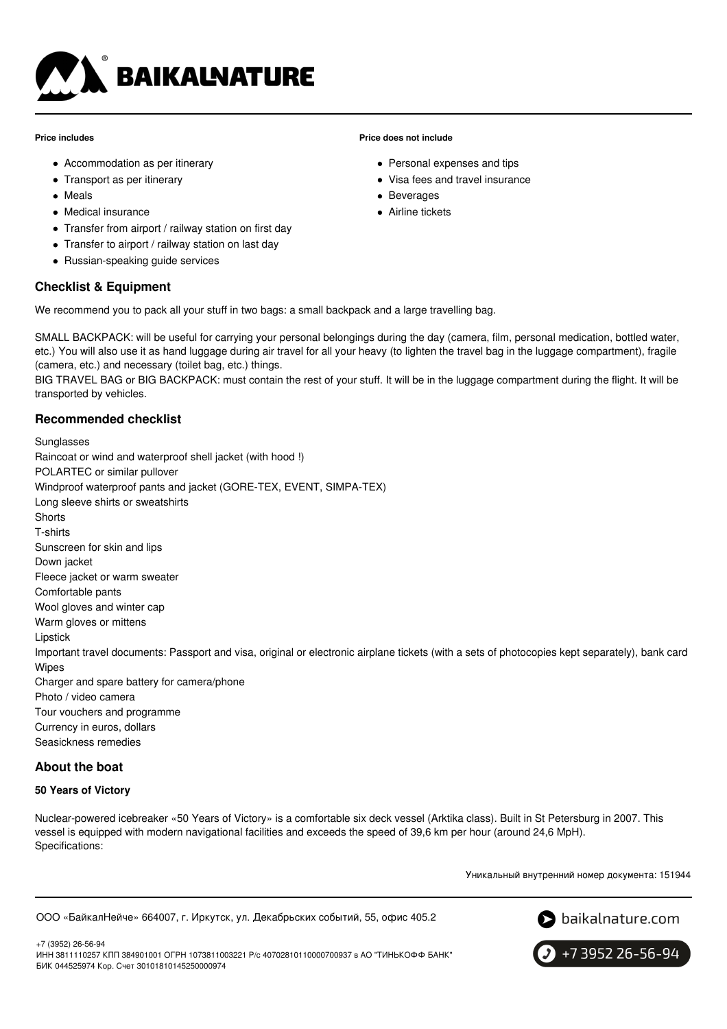

### **Price includes**

- Accommodation as per itinerary
- Transport as per itinerary
- Meals
- Medical insurance
- Transfer from airport / railway station on first day
- Transfer to airport / railway station on last day
- Russian-speaking guide services

# **Checklist & Equipment**

We recommend you to pack all your stuff in two bags: a small backpack and a large travelling bag.

SMALL BACKPACK: will be useful for carrying your personal belongings during the day (camera, film, personal medication, bottled water, etc.) You will also use it as hand luggage during air travel for all your heavy (to lighten the travel bag in the luggage compartment), fragile (camera, etc.) and necessary (toilet bag, etc.) things.

BIG TRAVEL BAG or BIG BACKPACK: must contain the rest of your stuff. It will be in the luggage compartment during the flight. It will be transported by vehicles.

# **Recommended checklist**

Sunglasses Raincoat or wind and waterproof shell jacket (with hood !) POLARTEC or similar pullover Windproof waterproof pants and jacket (GORE-TEX, EVENT, SIMPA-TEX) Long sleeve shirts or sweatshirts **Shorts** T-shirts Sunscreen for skin and lips Down jacket Fleece jacket or warm sweater Comfortable pants Wool gloves and winter cap Warm gloves or mittens Lipstick Important travel documents: Passport and visa, original or electronic airplane tickets (with a sets of photocopies kept separately), bank card Wipes Charger and spare battery for camera/phone Photo / video camera Tour vouchers and programme Currency in euros, dollars Seasickness remedies

# **About the boat**

# **50 Years of Victory**

Nuclear-powered icebreaker «50 Years of Victory» is a comfortable six deck vessel (Arktika class). Built in St Petersburg in 2007. This vessel is equipped with modern navigational facilities and exceeds the speed of 39,6 km per hour (around 24,6 MpH). Specifications:

Уникальный внутренний номер документа: 151944

ООО «БайкалНейче» 664007, г. Иркутск, ул. Декабрьских событий, 55, офис 405.2



+7 (3952) 26-56-94 ИНН 3811110257 КПП 384901001 ОГРН 1073811003221 Р/с 40702810110000700937 в АО "ТИНЬКОФФ БАНК" БИК 044525974 Кор. Счет 30101810145250000974

+7 3952 26-56-94

### **Price does not include**

- Personal expenses and tips
- Visa fees and travel insurance
- Beverages
- Airline tickets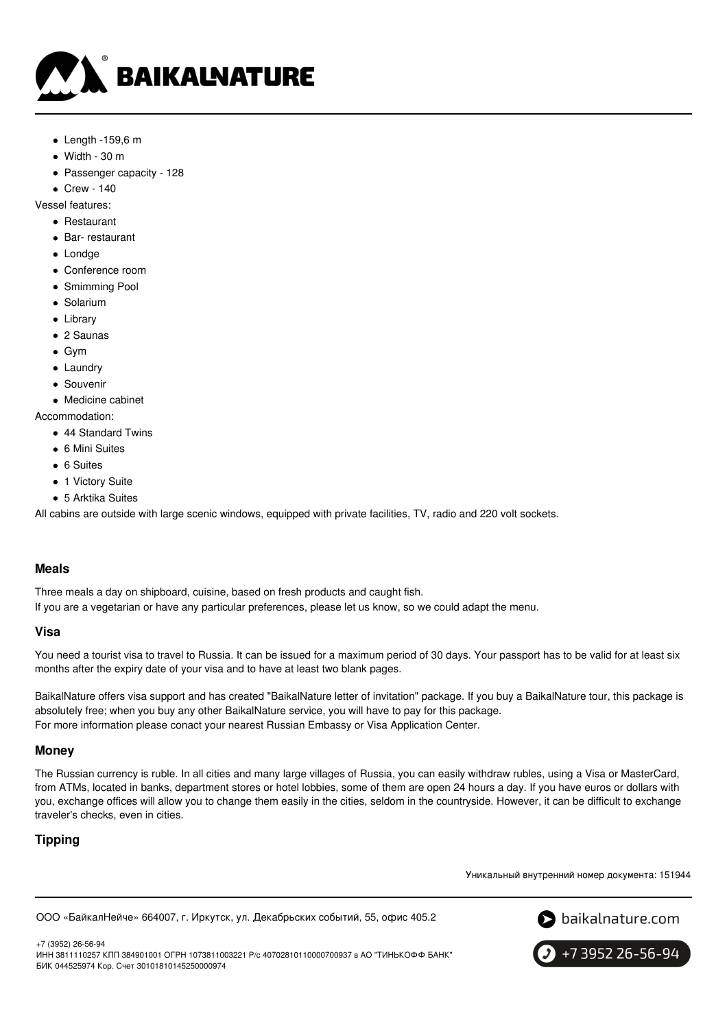

- $\bullet$  Length -159,6 m
- $\bullet$  Width 30 m
- Passenger capacity 128

Crew - 140

Vessel features:

- Restaurant
- Bar- restaurant
- Londge
- Conference room
- Smimming Pool
- Solarium
- Library
- 2 Saunas
- Gym
- Laundrv
- Souvenir
- Medicine cabinet

Accommodation:

- 44 Standard Twins
- 6 Mini Suites
- 6 Suites
- 1 Victory Suite
- 5 Arktika Suites

All cabins are outside with large scenic windows, equipped with private facilities, TV, radio and 220 volt sockets.

# **Meals**

Three meals a day on shipboard, cuisine, based on fresh products and caught fish.

If you are a vegetarian or have any particular preferences, please let us know, so we could adapt the menu.

### **Visa**

You need a tourist visa to travel to Russia. It can be issued for a maximum period of 30 days. Your passport has to be valid for at least six months after the expiry date of your visa and to have at least two blank pages.

BaikalNature offers visa support and has created "BaikalNature letter of invitation" package. If you buy a BaikalNature tour, this package is absolutely free; when you buy any other BaikalNature service, you will have to pay for this package. For more information please conact your nearest Russian Embassy or Visa Application Center.

### **Money**

The Russian currency is ruble. In all cities and many large villages of Russia, you can easily withdraw rubles, using a Visa or MasterCard, from ATMs, located in banks, department stores or hotel lobbies, some of them are open 24 hours a day. If you have euros or dollars with you, exchange offices will allow you to change them easily in the cities, seldom in the countryside. However, it can be difficult to exchange traveler's checks, even in cities.

# **Tipping**

Уникальный внутренний номер документа: 151944

ООО «БайкалНейче» 664007, г. Иркутск, ул. Декабрьских событий, 55, офис 405.2